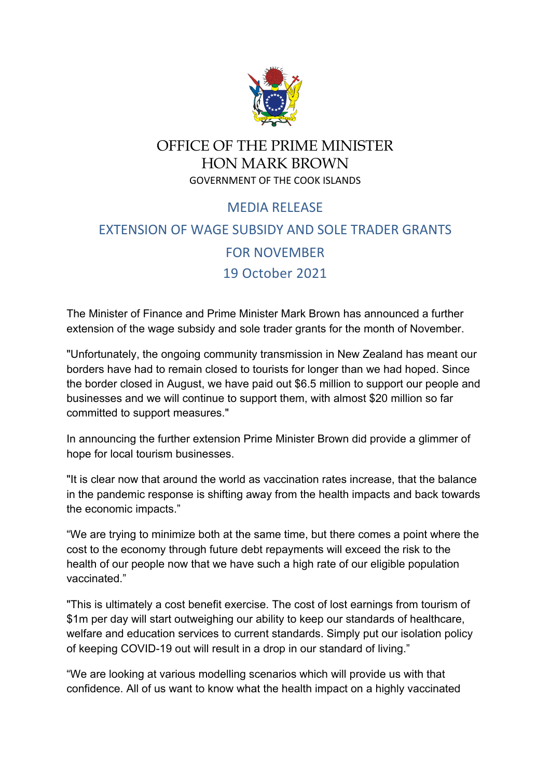

## OFFICE OF THE PRIME MINISTER HON MARK BROWN GOVERNMENT OF THE COOK ISLANDS

## MEDIA RELEASE EXTENSION OF WAGE SUBSIDY AND SOLE TRADER GRANTS FOR NOVEMBER 19 October 2021

The Minister of Finance and Prime Minister Mark Brown has announced a further extension of the wage subsidy and sole trader grants for the month of November.

"Unfortunately, the ongoing community transmission in New Zealand has meant our borders have had to remain closed to tourists for longer than we had hoped. Since the border closed in August, we have paid out \$6.5 million to support our people and businesses and we will continue to support them, with almost \$20 million so far committed to support measures."

In announcing the further extension Prime Minister Brown did provide a glimmer of hope for local tourism businesses.

"It is clear now that around the world as vaccination rates increase, that the balance in the pandemic response is shifting away from the health impacts and back towards the economic impacts."

"We are trying to minimize both at the same time, but there comes a point where the cost to the economy through future debt repayments will exceed the risk to the health of our people now that we have such a high rate of our eligible population vaccinated."

"This is ultimately a cost benefit exercise. The cost of lost earnings from tourism of \$1m per day will start outweighing our ability to keep our standards of healthcare, welfare and education services to current standards. Simply put our isolation policy of keeping COVID-19 out will result in a drop in our standard of living."

"We are looking at various modelling scenarios which will provide us with that confidence. All of us want to know what the health impact on a highly vaccinated